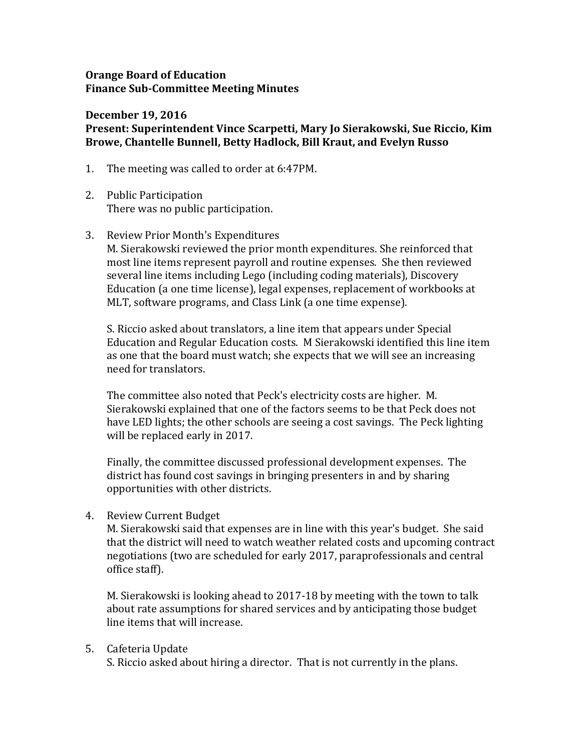## **Orange Board of Education Finance Sub-Committee Meeting Minutes**

## **December 19, 2016**

# **Present: Superintendent Vince Scarpetti, Mary Jo Sierakowski, Sue Riccio, Kim Browe, Chantelle Bunnell, Betty Hadlock, Bill Kraut, and Evelyn Russo**

- 1. The meeting was called to order at 6:47PM.
- 2. Public Participation There was no public participation.

### 3. Review Prior Month's Expenditures

M. Sierakowski reviewed the prior month expenditures. She reinforced that most line items represent payroll and routine expenses. She then reviewed several line items including Lego (including coding materials), Discovery Education (a one time license), legal expenses, replacement of workbooks at MLT, software programs, and Class Link (a one time expense).

S. Riccio asked about translators, a line item that appears under Special Education and Regular Education costs. M Sierakowski identified this line item as one that the board must watch; she expects that we will see an increasing need for translators.

The committee also noted that Peck's electricity costs are higher. M. Sierakowski explained that one of the factors seems to be that Peck does not have LED lights; the other schools are seeing a cost savings. The Peck lighting will be replaced early in 2017.

Finally, the committee discussed professional development expenses. The district has found cost savings in bringing presenters in and by sharing opportunities with other districts.

4. Review Current Budget

M. Sierakowski said that expenses are in line with this year's budget. She said that the district will need to watch weather related costs and upcoming contract negotiations (two are scheduled for early 2017, paraprofessionals and central office staff).

M. Sierakowski is looking ahead to 2017-18 by meeting with the town to talk about rate assumptions for shared services and by anticipating those budget line items that will increase.

### 5. Cafeteria Update

S. Riccio asked about hiring a director. That is not currently in the plans.